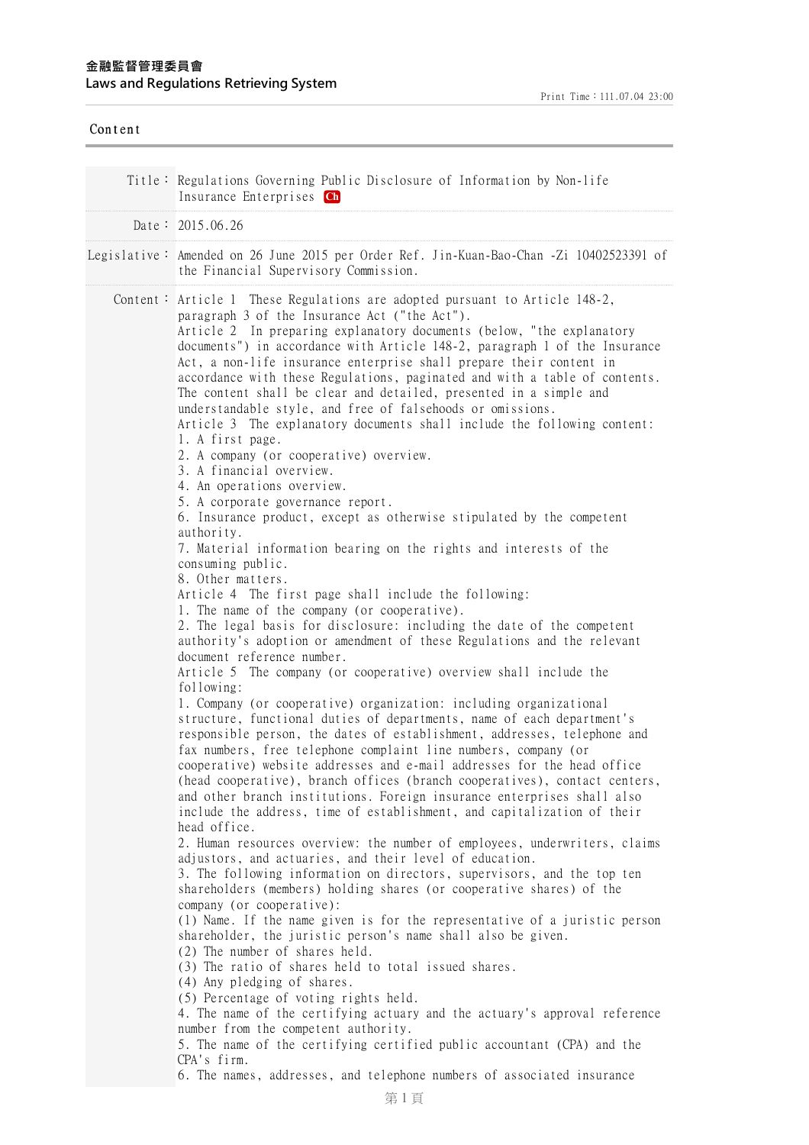| Content |                                                                                                                                                                                                                                                                                                                                                                                                                                                                                                                                                                                                                                                                                                                                                                                      |
|---------|--------------------------------------------------------------------------------------------------------------------------------------------------------------------------------------------------------------------------------------------------------------------------------------------------------------------------------------------------------------------------------------------------------------------------------------------------------------------------------------------------------------------------------------------------------------------------------------------------------------------------------------------------------------------------------------------------------------------------------------------------------------------------------------|
|         | Title: Regulations Governing Public Disclosure of Information by Non-life<br>Insurance Enterprises Ch                                                                                                                                                                                                                                                                                                                                                                                                                                                                                                                                                                                                                                                                                |
|         | Date: $2015.06.26$                                                                                                                                                                                                                                                                                                                                                                                                                                                                                                                                                                                                                                                                                                                                                                   |
|         | Legislative: Amended on 26 June 2015 per Order Ref. Jin-Kuan-Bao-Chan -Zi 10402523391 of<br>the Financial Supervisory Commission.                                                                                                                                                                                                                                                                                                                                                                                                                                                                                                                                                                                                                                                    |
|         | Content: Article 1 These Regulations are adopted pursuant to Article $148-2$ ,<br>paragraph 3 of the Insurance Act ("the Act").<br>Article 2 In preparing explanatory documents (below, "the explanatory<br>documents") in accordance with Article 148-2, paragraph 1 of the Insurance<br>Act, a non-life insurance enterprise shall prepare their content in<br>accordance with these Regulations, paginated and with a table of contents.<br>The content shall be clear and detailed, presented in a simple and<br>understandable style, and free of falsehoods or omissions.<br>Article 3 The explanatory documents shall include the following content:<br>1. A first page.<br>2. A company (or cooperative) overview.<br>3. A financial overview.<br>4. An operations overview. |
|         | 5. A corporate governance report.<br>6. Insurance product, except as otherwise stipulated by the competent<br>authority.<br>7. Material information bearing on the rights and interests of the<br>consuming public.<br>8. Other matters.                                                                                                                                                                                                                                                                                                                                                                                                                                                                                                                                             |
|         | Article 4 The first page shall include the following:<br>1. The name of the company (or cooperative).<br>2. The legal basis for disclosure: including the date of the competent<br>authority's adoption or amendment of these Regulations and the relevant<br>document reference number.<br>Article 5 The company (or cooperative) overview shall include the                                                                                                                                                                                                                                                                                                                                                                                                                        |
|         | following:<br>1. Company (or cooperative) organization: including organizational<br>structure, functional duties of departments, name of each department's<br>responsible person, the dates of establishment, addresses, telephone and<br>fax numbers, free telephone complaint line numbers, company (or<br>cooperative) website addresses and e-mail addresses for the head office<br>(head cooperative), branch offices (branch cooperatives), contact centers,<br>and other branch institutions. Foreign insurance enterprises shall also<br>include the address, time of establishment, and capitalization of their                                                                                                                                                             |
|         | head office.<br>2. Human resources overview: the number of employees, underwriters, claims<br>adjustors, and actuaries, and their level of education.<br>3. The following information on directors, supervisors, and the top ten<br>shareholders (members) holding shares (or cooperative shares) of the                                                                                                                                                                                                                                                                                                                                                                                                                                                                             |
|         | company (or cooperative):<br>(1) Name. If the name given is for the representative of a juristic person<br>shareholder, the juristic person's name shall also be given.<br>(2) The number of shares held.<br>(3) The ratio of shares held to total issued shares.<br>(4) Any pledging of shares.                                                                                                                                                                                                                                                                                                                                                                                                                                                                                     |
|         | (5) Percentage of voting rights held.<br>4. The name of the certifying actuary and the actuary's approval reference<br>number from the competent authority.<br>5. The name of the certifying certified public accountant (CPA) and the<br>CPA's firm.<br>6. The names, addresses, and telephone numbers of associated insurance                                                                                                                                                                                                                                                                                                                                                                                                                                                      |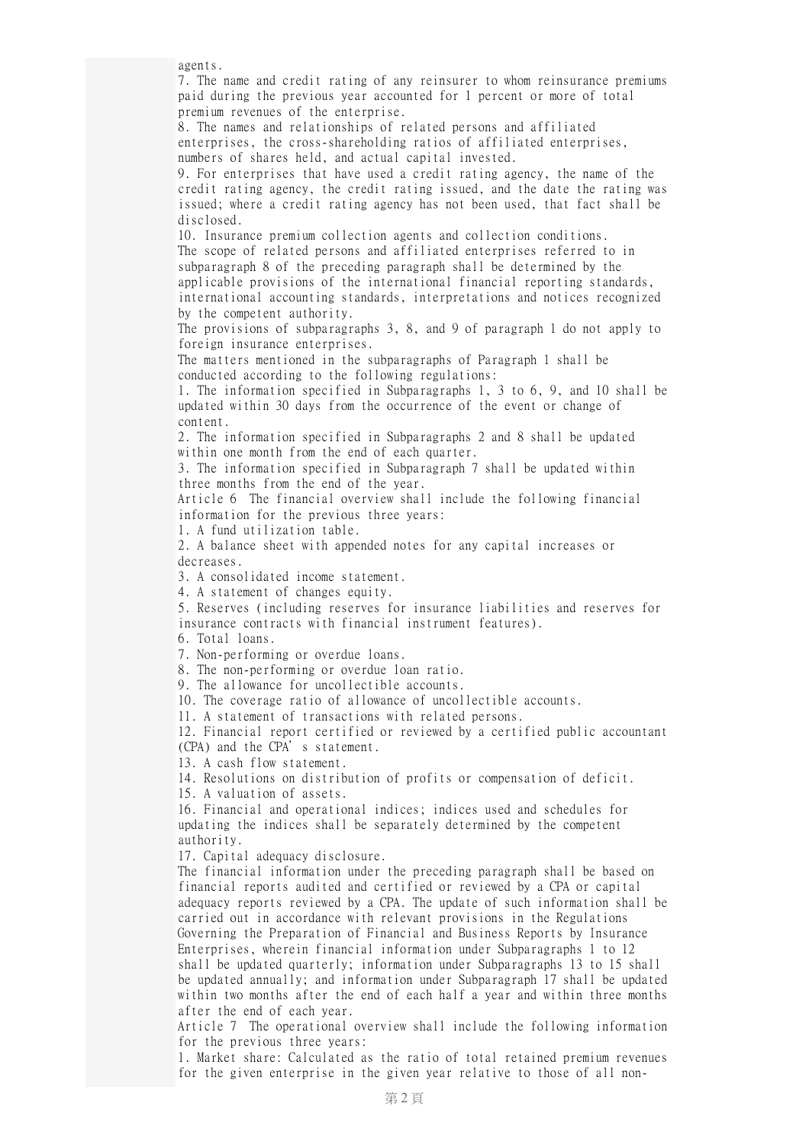agents.

7. The name and credit rating of any reinsurer to whom reinsurance premiums paid during the previous year accounted for 1 percent or more of total premium revenues of the enterprise.

8. The names and relationships of related persons and affiliated enterprises, the cross-shareholding ratios of affiliated enterprises, numbers of shares held, and actual capital invested.

9. For enterprises that have used a credit rating agency, the name of the credit rating agency, the credit rating issued, and the date the rating was issued; where a credit rating agency has not been used, that fact shall be disclosed.

10. Insurance premium collection agents and collection conditions. The scope of related persons and affiliated enterprises referred to in subparagraph 8 of the preceding paragraph shall be determined by the applicable provisions of the international financial reporting standards, international accounting standards, interpretations and notices recognized by the competent authority.

The provisions of subparagraphs 3, 8, and 9 of paragraph 1 do not apply to foreign insurance enterprises.

The matters mentioned in the subparagraphs of Paragraph 1 shall be conducted according to the following regulations:

1. The information specified in Subparagraphs 1, 3 to 6, 9, and 10 shall be updated within 30 days from the occurrence of the event or change of content.

2. The information specified in Subparagraphs 2 and 8 shall be updated within one month from the end of each quarter.

3. The information specified in Subparagraph 7 shall be updated within three months from the end of the year.

Article 6 The financial overview shall include the following financial information for the previous three years:

1. A fund utilization table.

2. A balance sheet with appended notes for any capital increases or decreases.

3. A consolidated income statement.

4. A statement of changes equity.

5. Reserves (including reserves for insurance liabilities and reserves for insurance contracts with financial instrument features).

6. Total loans.

7. Non-performing or overdue loans.

8. The non-performing or overdue loan ratio.

9. The allowance for uncollectible accounts.

10. The coverage ratio of allowance of uncollectible accounts.

11. A statement of transactions with related persons.

12. Financial report certified or reviewed by a certified public accountant (CPA) and the CPA's statement.

13. A cash flow statement.

14. Resolutions on distribution of profits or compensation of deficit.

15. A valuation of assets.

16. Financial and operational indices; indices used and schedules for updating the indices shall be separately determined by the competent authority.

17. Capital adequacy disclosure.

The financial information under the preceding paragraph shall be based on financial reports audited and certified or reviewed by a CPA or capital adequacy reports reviewed by a CPA. The update of such information shall be carried out in accordance with relevant provisions in the Regulations Governing the Preparation of Financial and Business Reports by Insurance Enterprises, wherein financial information under Subparagraphs 1 to 12 shall be updated quarterly; information under Subparagraphs 13 to 15 shall be updated annually; and information under Subparagraph 17 shall be updated within two months after the end of each half a year and within three months after the end of each year.

Article 7 The operational overview shall include the following information for the previous three years:

1. Market share: Calculated as the ratio of total retained premium revenues for the given enterprise in the given year relative to those of all non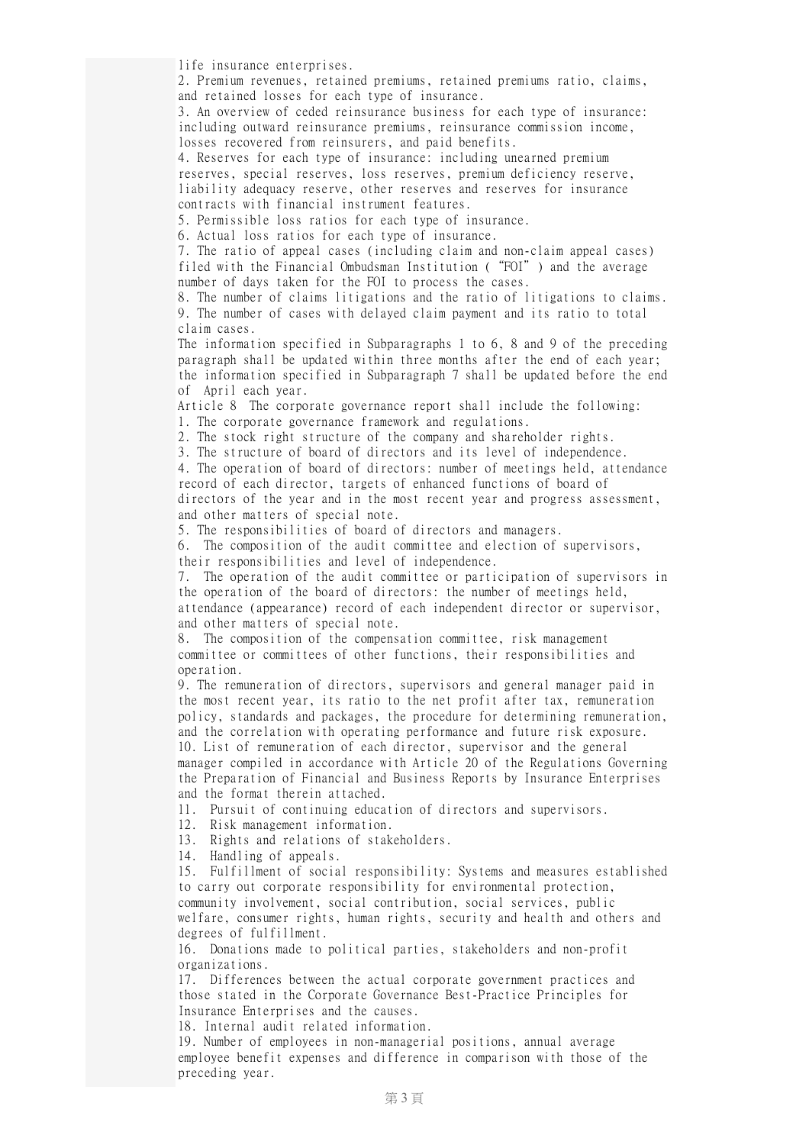life insurance enterprises.

2. Premium revenues, retained premiums, retained premiums ratio, claims, and retained losses for each type of insurance.

3. An overview of ceded reinsurance business for each type of insurance: including outward reinsurance premiums, reinsurance commission income, losses recovered from reinsurers, and paid benefits.

4. Reserves for each type of insurance: including unearned premium reserves, special reserves, loss reserves, premium deficiency reserve, liability adequacy reserve, other reserves and reserves for insurance contracts with financial instrument features.

5. Permissible loss ratios for each type of insurance.

6. Actual loss ratios for each type of insurance.

7. The ratio of appeal cases (including claim and non-claim appeal cases) filed with the Financial Ombudsman Institution ("FOI") and the average number of days taken for the FOI to process the cases.

8. The number of claims litigations and the ratio of litigations to claims. 9. The number of cases with delayed claim payment and its ratio to total claim cases.

The information specified in Subparagraphs 1 to 6, 8 and 9 of the preceding paragraph shall be updated within three months after the end of each year; the information specified in Subparagraph 7 shall be updated before the end of April each year.

Article 8 The corporate governance report shall include the following: 1. The corporate governance framework and regulations.

2. The stock right structure of the company and shareholder rights.

3. The structure of board of directors and its level of independence.

4. The operation of board of directors: number of meetings held, attendance record of each director, targets of enhanced functions of board of directors of the year and in the most recent year and progress assessment, and other matters of special note.

5. The responsibilities of board of directors and managers.

6. The composition of the audit committee and election of supervisors, their responsibilities and level of independence.

7. The operation of the audit committee or participation of supervisors in the operation of the board of directors: the number of meetings held, attendance (appearance) record of each independent director or supervisor, and other matters of special note.

8. The composition of the compensation committee, risk management committee or committees of other functions, their responsibilities and operation.

9. The remuneration of directors, supervisors and general manager paid in the most recent year, its ratio to the net profit after tax, remuneration policy, standards and packages, the procedure for determining remuneration, and the correlation with operating performance and future risk exposure. 10. List of remuneration of each director, supervisor and the general manager compiled in accordance with Article 20 of the Regulations Governing the Preparation of Financial and Business Reports by Insurance Enterprises and the format therein attached.

11. Pursuit of continuing education of directors and supervisors.

12. Risk management information.

13. Rights and relations of stakeholders.

14. Handling of appeals.

15. Fulfillment of social responsibility: Systems and measures established to carry out corporate responsibility for environmental protection, community involvement, social contribution, social services, public welfare, consumer rights, human rights, security and health and others and degrees of fulfillment.

16. Donations made to political parties, stakeholders and non-profit organizations.

17. Differences between the actual corporate government practices and those stated in the Corporate Governance Best-Practice Principles for Insurance Enterprises and the causes.

18. Internal audit related information.

19. Number of employees in non-managerial positions, annual average employee benefit expenses and difference in comparison with those of the preceding year.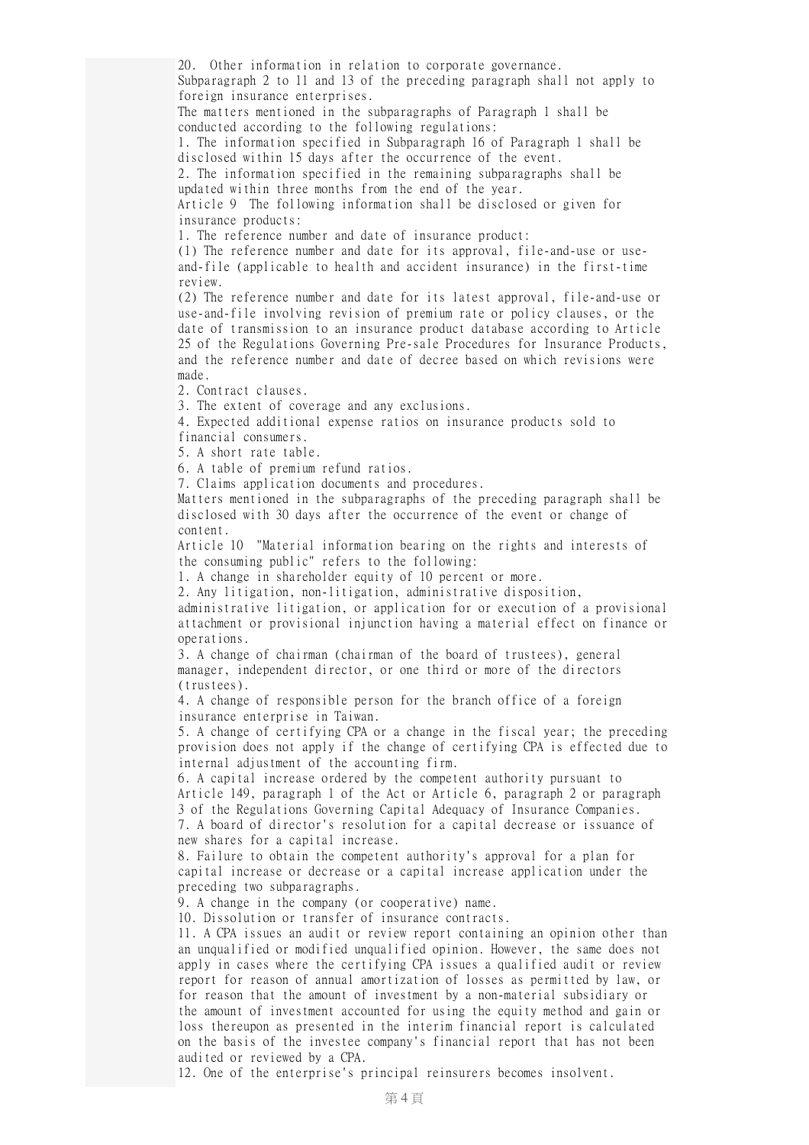20. Other information in relation to corporate governance. Subparagraph 2 to 11 and 13 of the preceding paragraph shall not apply to foreign insurance enterprises.

The matters mentioned in the subparagraphs of Paragraph 1 shall be conducted according to the following regulations:

1. The information specified in Subparagraph 16 of Paragraph 1 shall be disclosed within 15 days after the occurrence of the event.

2. The information specified in the remaining subparagraphs shall be updated within three months from the end of the year.

Article 9 The following information shall be disclosed or given for insurance products:

1. The reference number and date of insurance product:

(1) The reference number and date for its approval, file-and-use or useand-file (applicable to health and accident insurance) in the first-time review.

(2) The reference number and date for its latest approval, file-and-use or use-and-file involving revision of premium rate or policy clauses, or the date of transmission to an insurance product database according to Article 25 of the Regulations Governing Pre-sale Procedures for Insurance Products, and the reference number and date of decree based on which revisions were made.

2. Contract clauses.

3. The extent of coverage and any exclusions.

4. Expected additional expense ratios on insurance products sold to financial consumers.

5. A short rate table.

6. A table of premium refund ratios.

7. Claims application documents and procedures.

Matters mentioned in the subparagraphs of the preceding paragraph shall be disclosed with 30 days after the occurrence of the event or change of content.

Article 10 "Material information bearing on the rights and interests of the consuming public" refers to the following:

1. A change in shareholder equity of 10 percent or more.

2. Any litigation, non-litigation, administrative disposition,

administrative litigation, or application for or execution of a provisional attachment or provisional injunction having a material effect on finance or operations.

3. A change of chairman (chairman of the board of trustees), general manager, independent director, or one third or more of the directors (trustees).

4. A change of responsible person for the branch office of a foreign insurance enterprise in Taiwan.

5. A change of certifying CPA or a change in the fiscal year; the preceding provision does not apply if the change of certifying CPA is effected due to internal adjustment of the accounting firm.

6. A capital increase ordered by the competent authority pursuant to Article 149, paragraph 1 of the Act or Article 6, paragraph 2 or paragraph 3 of the Regulations Governing Capital Adequacy of Insurance Companies. 7. A board of director's resolution for a capital decrease or issuance of

new shares for a capital increase.

8. Failure to obtain the competent authority's approval for a plan for capital increase or decrease or a capital increase application under the preceding two subparagraphs.

9. A change in the company (or cooperative) name.

10. Dissolution or transfer of insurance contracts.

11. A CPA issues an audit or review report containing an opinion other than an unqualified or modified unqualified opinion. However, the same does not apply in cases where the certifying CPA issues a qualified audit or review report for reason of annual amortization of losses as permitted by law, or for reason that the amount of investment by a non-material subsidiary or the amount of investment accounted for using the equity method and gain or loss thereupon as presented in the interim financial report is calculated on the basis of the investee company's financial report that has not been audited or reviewed by a CPA.

12. One of the enterprise's principal reinsurers becomes insolvent.